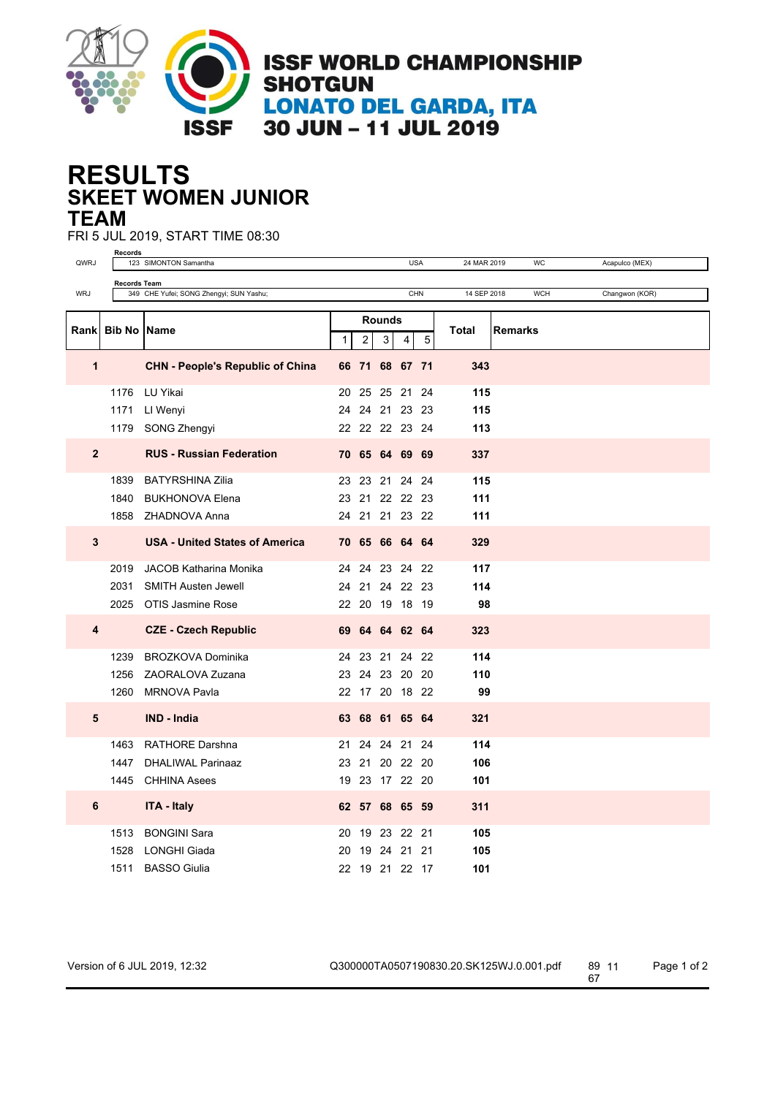

## **SKEET WOMEN JUNIOR RESULTS TEAM**

FRI 5 JUL 2019, START TIME 08:30

|                                                                                                                                    | <b>Records</b> |                                                                            |               |                  |   |                |    |       |                |  |  |
|------------------------------------------------------------------------------------------------------------------------------------|----------------|----------------------------------------------------------------------------|---------------|------------------|---|----------------|----|-------|----------------|--|--|
| QWRJ                                                                                                                               |                | 123 SIMONTON Samantha<br><b>USA</b><br>WC<br>24 MAR 2019<br>Acapulco (MEX) |               |                  |   |                |    |       |                |  |  |
| <b>Records Team</b><br><b>WRJ</b><br>349 CHE Yufei; SONG Zhengyi; SUN Yashu;<br>CHN<br>14 SEP 2018<br><b>WCH</b><br>Changwon (KOR) |                |                                                                            |               |                  |   |                |    |       |                |  |  |
|                                                                                                                                    |                |                                                                            |               |                  |   |                |    |       |                |  |  |
|                                                                                                                                    |                |                                                                            | <b>Rounds</b> |                  |   |                |    |       |                |  |  |
| Rank                                                                                                                               | <b>Bib No</b>  | <b>Name</b>                                                                |               | $\boldsymbol{2}$ | 3 | 5<br>4         |    | Total | <b>Remarks</b> |  |  |
| 1                                                                                                                                  |                | <b>CHN - People's Republic of China</b>                                    |               |                  |   | 66 71 68 67 71 |    | 343   |                |  |  |
|                                                                                                                                    |                | LU Yikai                                                                   |               |                  |   | 20 25 25 21 24 |    | 115   |                |  |  |
|                                                                                                                                    | 1176           |                                                                            |               |                  |   |                |    |       |                |  |  |
|                                                                                                                                    | 1171           | LI Wenyi                                                                   |               |                  |   | 24 24 21 23 23 |    | 115   |                |  |  |
|                                                                                                                                    | 1179           | SONG Zhengyi                                                               |               |                  |   | 22 22 22 23 24 |    | 113   |                |  |  |
| $\overline{2}$                                                                                                                     |                | <b>RUS - Russian Federation</b>                                            |               |                  |   | 70 65 64 69 69 |    | 337   |                |  |  |
|                                                                                                                                    | 1839           | <b>BATYRSHINA Zilia</b>                                                    |               |                  |   | 23 23 21 24 24 |    | 115   |                |  |  |
|                                                                                                                                    | 1840           | <b>BUKHONOVA Elena</b>                                                     |               |                  |   | 23 21 22 22 23 |    | 111   |                |  |  |
|                                                                                                                                    | 1858           | ZHADNOVA Anna                                                              |               |                  |   | 24 21 21 23 22 |    | 111   |                |  |  |
|                                                                                                                                    |                |                                                                            |               |                  |   |                |    |       |                |  |  |
| $\overline{\mathbf{3}}$                                                                                                            |                | <b>USA - United States of America</b>                                      |               |                  |   | 70 65 66 64 64 |    | 329   |                |  |  |
|                                                                                                                                    | 2019           | JACOB Katharina Monika                                                     |               |                  |   | 24 24 23 24 22 |    | 117   |                |  |  |
|                                                                                                                                    | 2031           | <b>SMITH Austen Jewell</b>                                                 |               |                  |   | 24 21 24 22 23 |    | 114   |                |  |  |
|                                                                                                                                    | 2025           | <b>OTIS Jasmine Rose</b>                                                   |               |                  |   | 22 20 19 18 19 |    | 98    |                |  |  |
|                                                                                                                                    |                |                                                                            |               |                  |   |                |    |       |                |  |  |
| 4                                                                                                                                  |                | <b>CZE - Czech Republic</b>                                                |               |                  |   | 69 64 64 62 64 |    | 323   |                |  |  |
|                                                                                                                                    | 1239           | <b>BROZKOVA Dominika</b>                                                   |               |                  |   | 24 23 21 24 22 |    | 114   |                |  |  |
|                                                                                                                                    | 1256           | ZAORALOVA Zuzana                                                           |               |                  |   | 23 24 23 20 20 |    | 110   |                |  |  |
|                                                                                                                                    | 1260           | <b>MRNOVA Pavla</b>                                                        |               |                  |   | 22 17 20 18 22 |    | 99    |                |  |  |
| 5                                                                                                                                  |                | <b>IND - India</b>                                                         | 63            | 68               |   | 61 65 64       |    | 321   |                |  |  |
|                                                                                                                                    |                |                                                                            |               |                  |   |                |    |       |                |  |  |
|                                                                                                                                    | 1463           | <b>RATHORE Darshna</b>                                                     | 21            |                  |   | 24 24 21 24    |    | 114   |                |  |  |
|                                                                                                                                    | 1447           | <b>DHALIWAL Parinaaz</b>                                                   | 23            |                  |   | 21 20 22 20    |    | 106   |                |  |  |
|                                                                                                                                    |                | 1445 CHHINA Asees                                                          |               |                  |   | 19 23 17 22 20 |    | 101   |                |  |  |
| 6                                                                                                                                  |                | <b>ITA - Italy</b>                                                         |               |                  |   | 62 57 68 65 59 |    | 311   |                |  |  |
|                                                                                                                                    | 1513           | <b>BONGINI Sara</b>                                                        | 20            |                  |   | 19 23 22 21    |    | 105   |                |  |  |
|                                                                                                                                    | 1528           | <b>LONGHI Giada</b>                                                        | 20            | 19               |   | 24 21          | 21 | 105   |                |  |  |
|                                                                                                                                    | 1511           | <b>BASSO Giulia</b>                                                        |               |                  |   | 22 19 21 22 17 |    | 101   |                |  |  |

Version of 6 JUL 2019, 12:32 Q300000TA0507190830.20.SK125WJ.0.001.pdf 89 11 Page 1 of 2